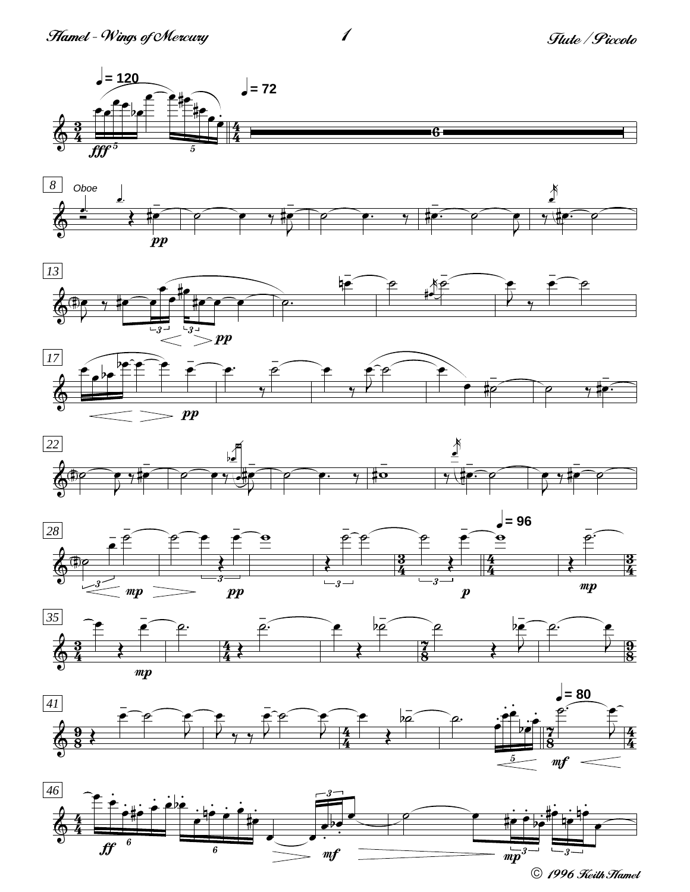















1996 Keith Hamel

1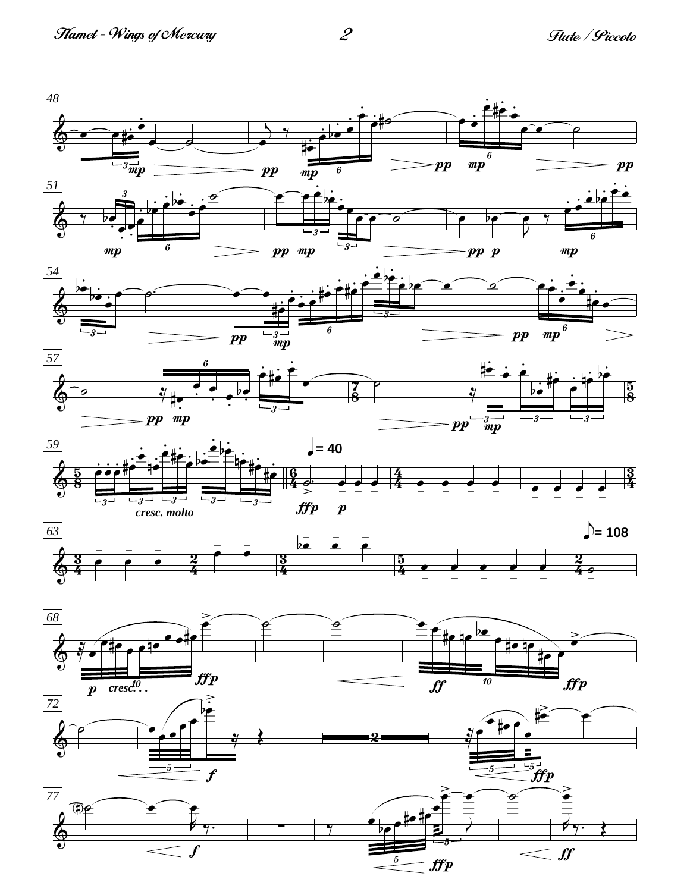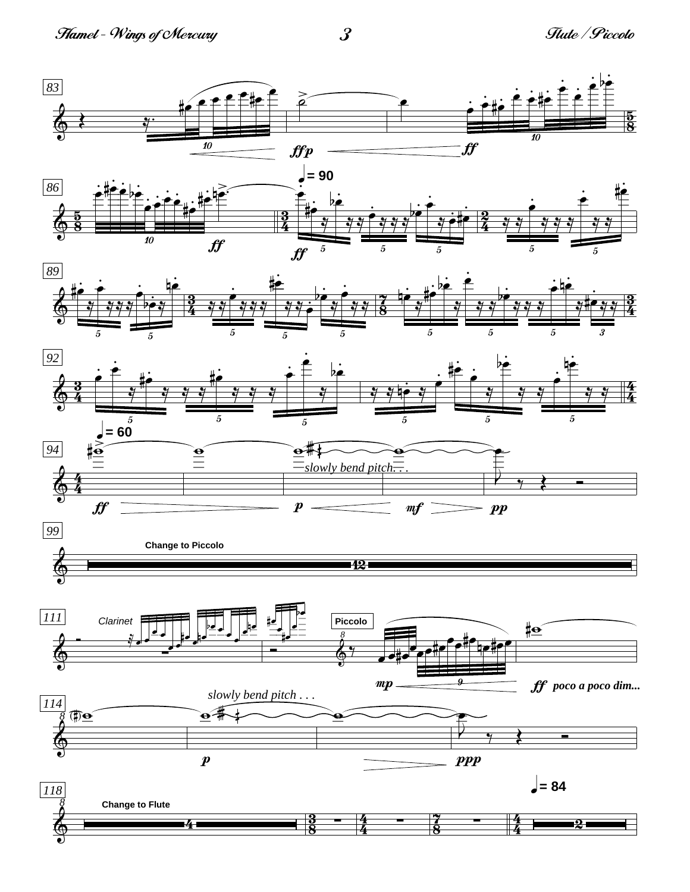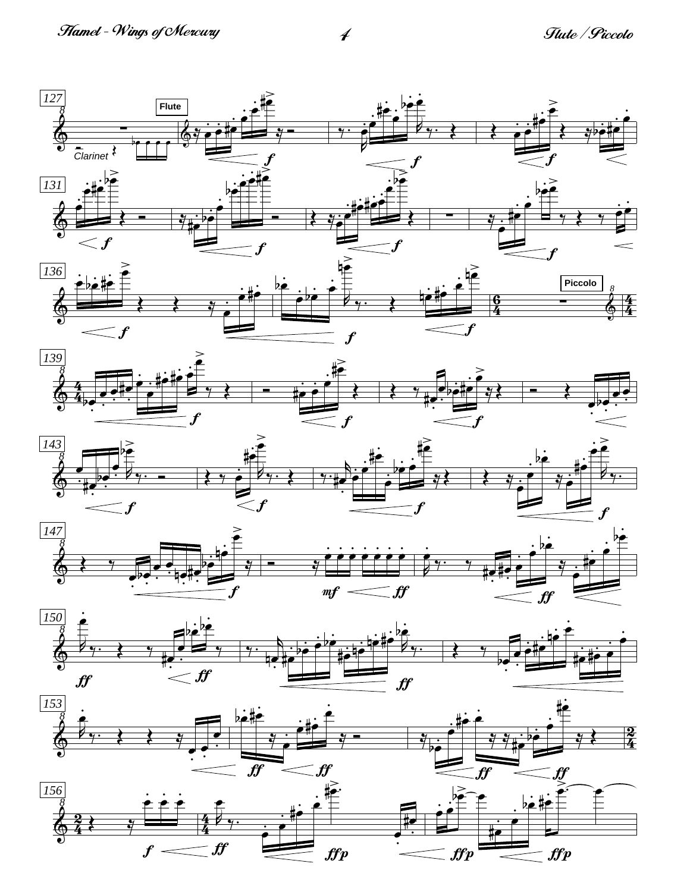











 $\overline{\mathbf{r}}$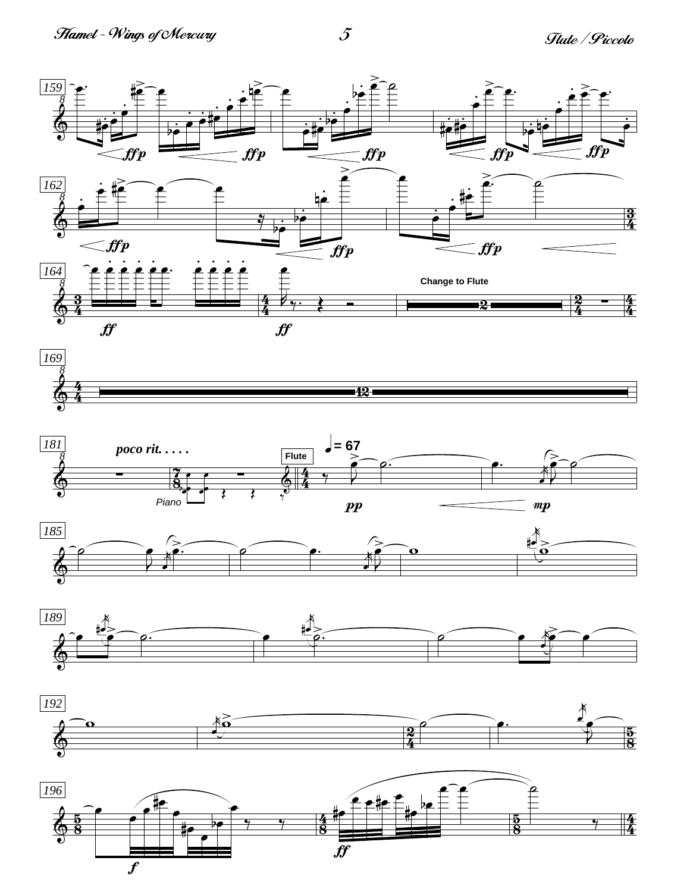